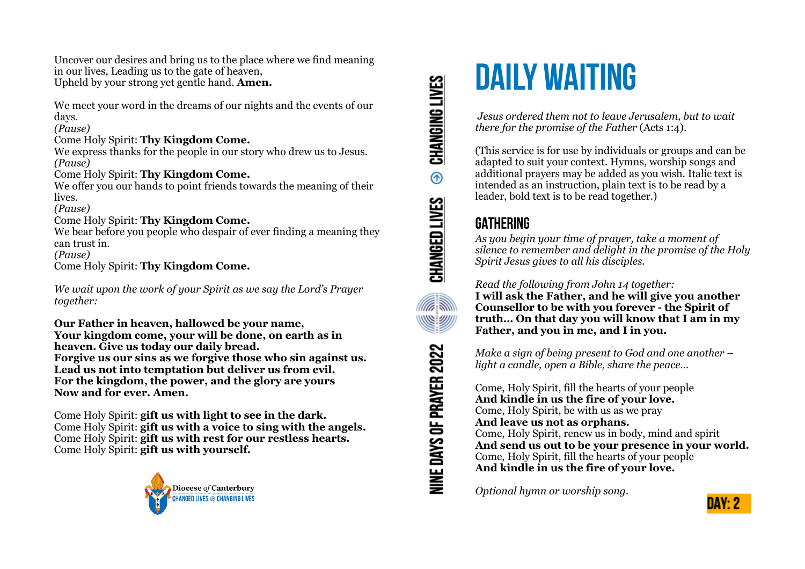Uncover our desires and bring us to the place where we find meaning in our lives, Leading us to the gate of heaven, Upheld by your strong yet gentle hand. **Amen.**

We meet your word in the dreams of our nights and the events of our days.

*(Pause)*

#### Come Holy Spirit: **Thy Kingdom Come.**

We express thanks for the people in our story who drew us to Jesus. *(Pause)*

#### Come Holy Spirit: **Thy Kingdom Come.**

We offer you our hands to point friends towards the meaning of their lives.

*(Pause)*

#### Come Holy Spirit: **Thy Kingdom Come.**

We bear before you people who despair of ever finding a meaning they can trust in.

*(Pause)*

Come Holy Spirit: **Thy Kingdom Come.**

*We wait upon the work of your Spirit as we say the Lord's Prayer together:*

**Our Father in heaven, hallowed be your name, Your kingdom come, your will be done, on earth as in heaven. Give us today our daily bread. Forgive us our sins as we forgive those who sin against us. Lead us not into temptation but deliver us from evil. For the kingdom, the power, and the glory are yours Now and for ever. Amen.**

Come Holy Spirit: **gift us with light to see in the dark.** Come Holy Spirit: **gift us with a voice to sing with the angels.** Come Holy Spirit: **gift us with rest for our restless hearts.** Come Holy Spirit: **gift us with yourself.**



# **CHANGING LIVES**  $^{\circ}$ CHANGED LIVES <u>(llite</u> VIII)<br>|-<br>|-<u>Simil</u> NINE DAYS OF PRAYER 2022

# **DAILY WAITING**

 *Jesus ordered them not to leave Jerusalem, but to wait there for the promise of the Father* (Acts 1:4).

(This service is for use by individuals or groups and can be adapted to suit your context. Hymns, worship songs and additional prayers may be added as you wish. Italic text is intended as an instruction, plain text is to be read by a leader, bold text is to be read together.)

# **GATHERING**

*As you begin your time of prayer, take a moment of silence to remember and delight in the promise of the Holy Spirit Jesus gives to all his disciples.*

*Read the following from John 14 together:*  **I will ask the Father, and he will give you another Counsellor to be with you forever - the Spirit of truth… On that day you will know that I am in my Father, and you in me, and I in you.** 

*Make a sign of being present to God and one another – light a candle, open a Bible, share the peace…* 

Come, Holy Spirit, fill the hearts of your people **And kindle in us the fire of your love.**  Come, Holy Spirit, be with us as we pray **And leave us not as orphans.**  Come, Holy Spirit, renew us in body, mind and spirit **And send us out to be your presence in your world.**  Come, Holy Spirit, fill the hearts of your people **And kindle in us the fire of your love.**

*Optional hymn or worship song.*